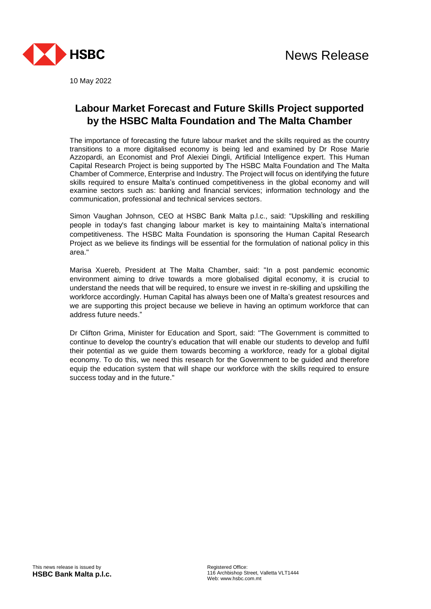

10 May 2022

## **Labour Market Forecast and Future Skills Project supported by the HSBC Malta Foundation and The Malta Chamber**

The importance of forecasting the future labour market and the skills required as the country transitions to a more digitalised economy is being led and examined by Dr Rose Marie Azzopardi, an Economist and Prof Alexiei Dingli, Artificial Intelligence expert. This Human Capital Research Project is being supported by The HSBC Malta Foundation and The Malta Chamber of Commerce, Enterprise and Industry. The Project will focus on identifying the future skills required to ensure Malta's continued competitiveness in the global economy and will examine sectors such as: banking and financial services; information technology and the communication, professional and technical services sectors.

Simon Vaughan Johnson, CEO at HSBC Bank Malta p.l.c., said: "Upskilling and reskilling people in today's fast changing labour market is key to maintaining Malta's international competitiveness. The HSBC Malta Foundation is sponsoring the Human Capital Research Project as we believe its findings will be essential for the formulation of national policy in this area."

Marisa Xuereb, President at The Malta Chamber, said: "In a post pandemic economic environment aiming to drive towards a more globalised digital economy, it is crucial to understand the needs that will be required, to ensure we invest in re-skilling and upskilling the workforce accordingly. Human Capital has always been one of Malta's greatest resources and we are supporting this project because we believe in having an optimum workforce that can address future needs."

Dr Clifton Grima, Minister for Education and Sport, said: "The Government is committed to continue to develop the country's education that will enable our students to develop and fulfil their potential as we guide them towards becoming a workforce, ready for a global digital economy. To do this, we need this research for the Government to be guided and therefore equip the education system that will shape our workforce with the skills required to ensure success today and in the future."